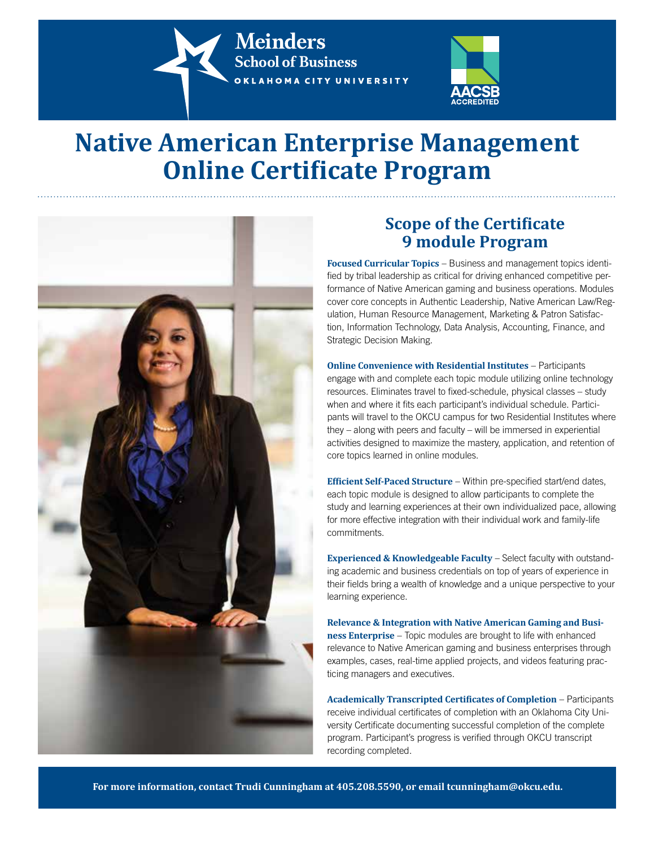**Meinders School of Business** OKLAHOMA CITY UNIVERSITY



## **Native American Enterprise Management Online Certificate Program**



## **Scope of the Certificate 9 module Program**

**Focused Curricular Topics** – Business and management topics identified by tribal leadership as critical for driving enhanced competitive performance of Native American gaming and business operations. Modules cover core concepts in Authentic Leadership, Native American Law/Regulation, Human Resource Management, Marketing & Patron Satisfaction, Information Technology, Data Analysis, Accounting, Finance, and Strategic Decision Making.

**Online Convenience with Residential Institutes** – Participants engage with and complete each topic module utilizing online technology resources. Eliminates travel to fixed-schedule, physical classes – study when and where it fits each participant's individual schedule. Participants will travel to the OKCU campus for two Residential Institutes where they – along with peers and faculty – will be immersed in experiential activities designed to maximize the mastery, application, and retention of core topics learned in online modules.

**Efficient Self-Paced Structure** – Within pre-specified start/end dates, each topic module is designed to allow participants to complete the study and learning experiences at their own individualized pace, allowing for more effective integration with their individual work and family-life commitments.

**Experienced & Knowledgeable Faculty** – Select faculty with outstanding academic and business credentials on top of years of experience in their fields bring a wealth of knowledge and a unique perspective to your learning experience.

**Relevance & Integration with Native American Gaming and Business Enterprise** – Topic modules are brought to life with enhanced relevance to Native American gaming and business enterprises through examples, cases, real-time applied projects, and videos featuring practicing managers and executives.

**Academically Transcripted Certificates of Completion** – Participants receive individual certificates of completion with an Oklahoma City University Certificate documenting successful completion of the complete program. Participant's progress is verified through OKCU transcript recording completed.